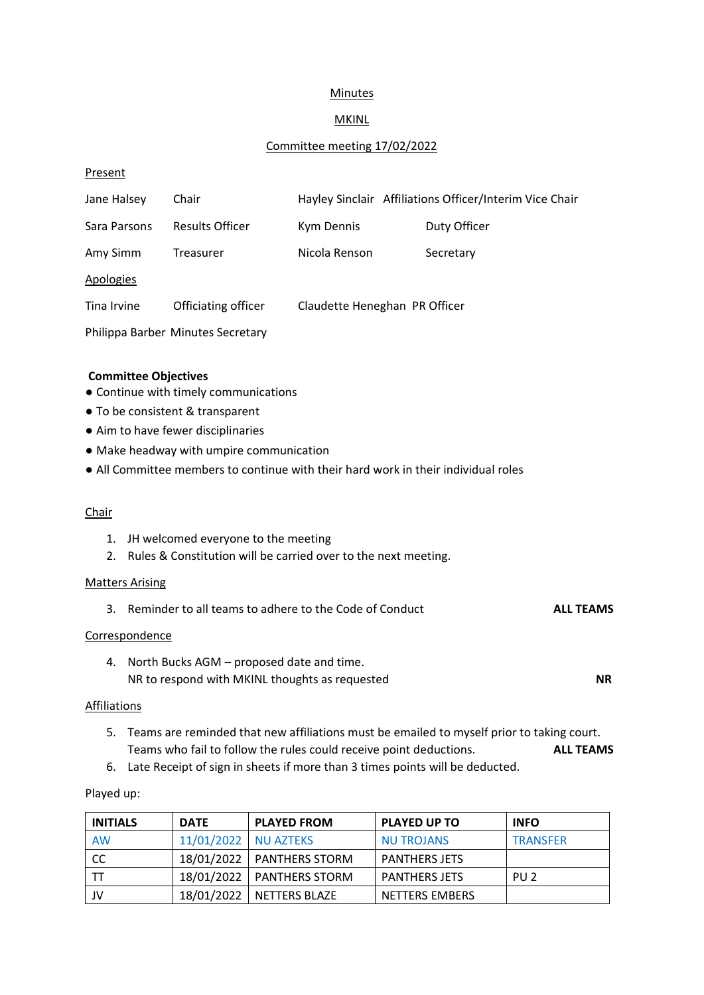## **Minutes**

## MKINL

## Committee meeting 17/02/2022

### **Present**

| Jane Halsey                       | Chair                  |                               | Hayley Sinclair Affiliations Officer/Interim Vice Chair |
|-----------------------------------|------------------------|-------------------------------|---------------------------------------------------------|
| Sara Parsons                      | <b>Results Officer</b> | Kym Dennis                    | Duty Officer                                            |
| Amy Simm                          | Treasurer              | Nicola Renson                 | Secretary                                               |
| Apologies                         |                        |                               |                                                         |
| Tina Irvine                       | Officiating officer    | Claudette Heneghan PR Officer |                                                         |
| Philippa Barber Minutes Secretary |                        |                               |                                                         |
|                                   |                        |                               |                                                         |

## **Committee Objectives**

- Continue with timely communications
- To be consistent & transparent
- Aim to have fewer disciplinaries
- Make headway with umpire communication
- All Committee members to continue with their hard work in their individual roles

## **Chair**

- 1. JH welcomed everyone to the meeting
- 2. Rules & Constitution will be carried over to the next meeting.

### Matters Arising

| 3. Reminder to all teams to adhere to the Code of Conduct | <b>ALL TEAMS</b> |
|-----------------------------------------------------------|------------------|
|                                                           |                  |

### Correspondence

4. North Bucks AGM – proposed date and time. NR to respond with MKINL thoughts as requested **NR**

### Affiliations

- 5. Teams are reminded that new affiliations must be emailed to myself prior to taking court. Teams who fail to follow the rules could receive point deductions. **ALL TEAMS**
- 6. Late Receipt of sign in sheets if more than 3 times points will be deducted.

#### Played up:

| <b>INITIALS</b> | <b>DATE</b>          | <b>PLAYED FROM</b>          | <b>PLAYED UP TO</b>   | <b>INFO</b>     |
|-----------------|----------------------|-----------------------------|-----------------------|-----------------|
| <b>AW</b>       | 11/01/2022 NU AZTEKS |                             | <b>NU TROJANS</b>     | <b>TRANSFER</b> |
| <b>CC</b>       |                      | 18/01/2022   PANTHERS STORM | <b>PANTHERS JETS</b>  |                 |
|                 |                      | 18/01/2022   PANTHERS STORM | <b>PANTHERS JETS</b>  | PU <sub>2</sub> |
| JV              |                      | 18/01/2022   NETTERS BLAZE  | <b>NETTERS EMBERS</b> |                 |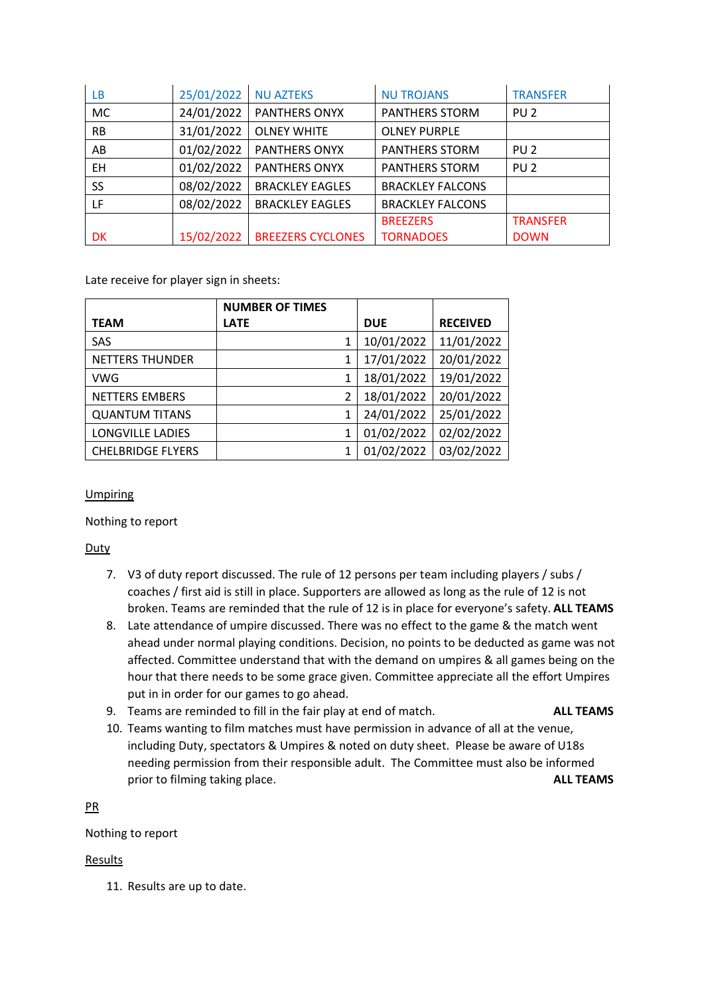| <b>LB</b> | 25/01/2022 | <b>NU AZTEKS</b>         | <b>NU TROJANS</b>       | <b>TRANSFER</b> |
|-----------|------------|--------------------------|-------------------------|-----------------|
| <b>MC</b> | 24/01/2022 | <b>PANTHERS ONYX</b>     | <b>PANTHERS STORM</b>   | PU <sub>2</sub> |
| <b>RB</b> | 31/01/2022 | <b>OLNEY WHITE</b>       | <b>OLNEY PURPLE</b>     |                 |
| AB        | 01/02/2022 | <b>PANTHERS ONYX</b>     | <b>PANTHERS STORM</b>   | PU <sub>2</sub> |
| EH.       | 01/02/2022 | <b>PANTHERS ONYX</b>     | <b>PANTHERS STORM</b>   | PU <sub>2</sub> |
| <b>SS</b> | 08/02/2022 | <b>BRACKLEY EAGLES</b>   | <b>BRACKLEY FALCONS</b> |                 |
| LF        | 08/02/2022 | <b>BRACKLEY EAGLES</b>   | <b>BRACKLEY FALCONS</b> |                 |
|           |            |                          | <b>BREEZERS</b>         | <b>TRANSFER</b> |
| <b>DK</b> | 15/02/2022 | <b>BREEZERS CYCLONES</b> | <b>TORNADOES</b>        | <b>DOWN</b>     |

Late receive for player sign in sheets:

|                          | <b>NUMBER OF TIMES</b> |   |            |                 |
|--------------------------|------------------------|---|------------|-----------------|
| <b>TEAM</b>              | <b>LATE</b>            |   | <b>DUE</b> | <b>RECEIVED</b> |
| SAS                      |                        | 1 | 10/01/2022 | 11/01/2022      |
| NETTERS THUNDER          |                        | 1 | 17/01/2022 | 20/01/2022      |
| <b>VWG</b>               |                        | 1 | 18/01/2022 | 19/01/2022      |
| <b>NETTERS EMBERS</b>    |                        | 2 | 18/01/2022 | 20/01/2022      |
| <b>QUANTUM TITANS</b>    |                        | 1 | 24/01/2022 | 25/01/2022      |
| LONGVILLE LADIES         |                        | 1 | 01/02/2022 | 02/02/2022      |
| <b>CHELBRIDGE FLYERS</b> |                        | 1 | 01/02/2022 | 03/02/2022      |

## Umpiring

Nothing to report

Duty

- 7. V3 of duty report discussed. The rule of 12 persons per team including players / subs / coaches / first aid is still in place. Supporters are allowed as long as the rule of 12 is not broken. Teams are reminded that the rule of 12 is in place for everyone's safety. **ALL TEAMS**
- 8. Late attendance of umpire discussed. There was no effect to the game & the match went ahead under normal playing conditions. Decision, no points to be deducted as game was not affected. Committee understand that with the demand on umpires & all games being on the hour that there needs to be some grace given. Committee appreciate all the effort Umpires put in in order for our games to go ahead.
- 9. Teams are reminded to fill in the fair play at end of match. **ALL TEAMS**

10. Teams wanting to film matches must have permission in advance of all at the venue, including Duty, spectators & Umpires & noted on duty sheet. Please be aware of U18s needing permission from their responsible adult. The Committee must also be informed prior to filming taking place. **ALL TEAMS**

PR

# Nothing to report

# Results

11. Results are up to date.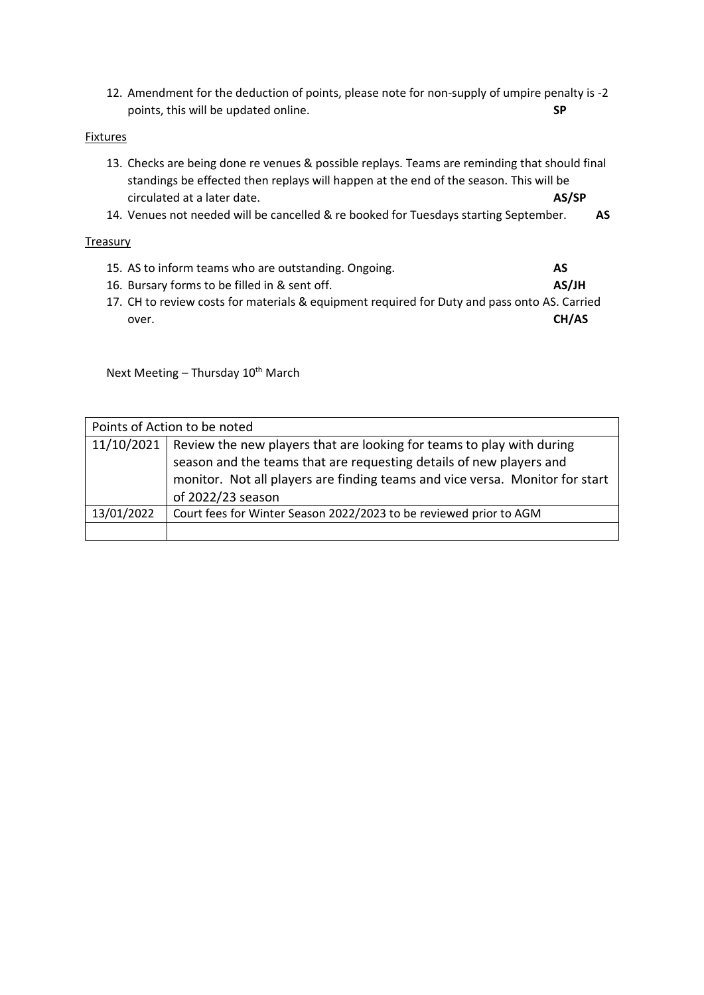12. Amendment for the deduction of points, please note for non-supply of umpire penalty is -2 points, this will be updated online. **SP**

### Fixtures

- 13. Checks are being done re venues & possible replays. Teams are reminding that should final standings be effected then replays will happen at the end of the season. This will be circulated at a later date. **AS/SP**
- 14. Venues not needed will be cancelled & re booked for Tuesdays starting September. **AS**

## Treasury

- 15. AS to inform teams who are outstanding. Ongoing. **AS**
- 16. Bursary forms to be filled in & sent off. **AS/JH**
- 17. CH to review costs for materials & equipment required for Duty and pass onto AS. Carried over. **CH/AS**

Next Meeting – Thursday  $10^{th}$  March

| Points of Action to be noted |                                                                              |  |  |
|------------------------------|------------------------------------------------------------------------------|--|--|
| 11/10/2021                   | Review the new players that are looking for teams to play with during        |  |  |
|                              | season and the teams that are requesting details of new players and          |  |  |
|                              | monitor. Not all players are finding teams and vice versa. Monitor for start |  |  |
|                              | of 2022/23 season                                                            |  |  |
| 13/01/2022                   | Court fees for Winter Season 2022/2023 to be reviewed prior to AGM           |  |  |
|                              |                                                                              |  |  |